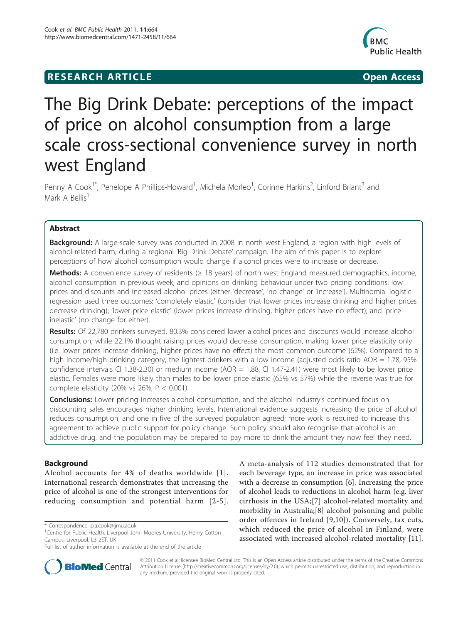# **RESEARCH ARTICLE Example 2018 12:00 Open Access**



# The Big Drink Debate: perceptions of the impact of price on alcohol consumption from a large scale cross-sectional convenience survey in north west England

Penny A Cook<sup>1\*</sup>, Penelope A Phillips-Howard<sup>1</sup>, Michela Morleo<sup>1</sup>, Corinne Harkins<sup>2</sup>, Linford Briant<sup>3</sup> and Mark A Bellis<sup>1</sup>

# Abstract

**Background:** A large-scale survey was conducted in 2008 in north west England, a region with high levels of alcohol-related harm, during a regional 'Big Drink Debate' campaign. The aim of this paper is to explore perceptions of how alcohol consumption would change if alcohol prices were to increase or decrease.

Methods: A convenience survey of residents ( $\geq$  18 years) of north west England measured demographics, income, alcohol consumption in previous week, and opinions on drinking behaviour under two pricing conditions: low prices and discounts and increased alcohol prices (either 'decrease', 'no change' or 'increase'). Multinomial logistic regression used three outcomes: 'completely elastic' (consider that lower prices increase drinking and higher prices decrease drinking); 'lower price elastic' (lower prices increase drinking, higher prices have no effect); and 'price inelastic' (no change for either).

Results: Of 22,780 drinkers surveyed, 80.3% considered lower alcohol prices and discounts would increase alcohol consumption, while 22.1% thought raising prices would decrease consumption, making lower price elasticity only (i.e. lower prices increase drinking, higher prices have no effect) the most common outcome (62%). Compared to a high income/high drinking category, the lightest drinkers with a low income (adjusted odds ratio AOR = 1.78, 95% confidence intervals CI 1.38-2.30) or medium income (AOR = 1.88, CI 1.47-2.41) were most likely to be lower price elastic. Females were more likely than males to be lower price elastic (65% vs 57%) while the reverse was true for complete elasticity (20% vs 26%,  $P < 0.001$ ).

Conclusions: Lower pricing increases alcohol consumption, and the alcohol industry's continued focus on discounting sales encourages higher drinking levels. International evidence suggests increasing the price of alcohol reduces consumption, and one in five of the surveyed population agreed; more work is required to increase this agreement to achieve public support for policy change. Such policy should also recognise that alcohol is an addictive drug, and the population may be prepared to pay more to drink the amount they now feel they need.

# Background

Alcohol accounts for 4% of deaths worldwide [[1\]](#page-8-0). International research demonstrates that increasing the price of alcohol is one of the strongest interventions for reducing consumption and potential harm [[2](#page-8-0)-[5\]](#page-9-0).

Full list of author information is available at the end of the article





© 2011 Cook et al; licensee BioMed Central Ltd. This is an Open Access article distributed under the terms of the Creative Commons Attribution License [\(http://creativecommons.org/licenses/by/2.0](http://creativecommons.org/licenses/by/2.0)), which permits unrestricted use, distribution, and reproduction in any medium, provided the original work is properly cited.

<sup>\*</sup> Correspondence: [p.a.cook@ljmu.ac.uk](mailto:p.a.cook@ljmu.ac.uk)

<sup>&</sup>lt;sup>1</sup> Centre for Public Health, Liverpool John Moores University, Henry Cotton Campus, Liverpool, L3 2ET, UK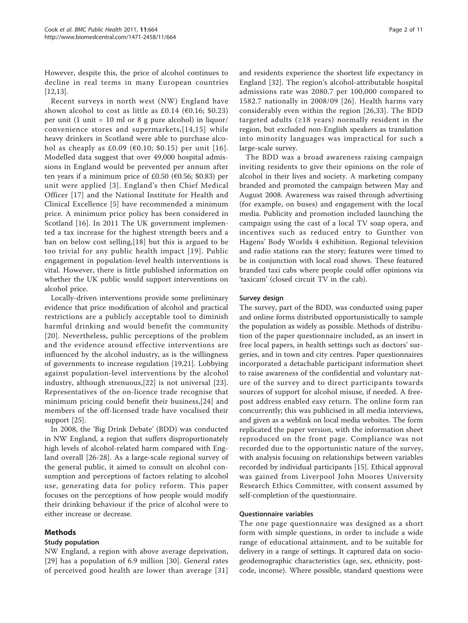However, despite this, the price of alcohol continues to decline in real terms in many European countries [[12,13\]](#page-9-0).

Recent surveys in north west (NW) England have shown alcohol to cost as little as £0.14 ( $€0.16;$  \$0.23) per unit (1 unit = 10 ml or 8 g pure alcohol) in liquor/ convenience stores and supermarkets,[[14,15](#page-9-0)] while heavy drinkers in Scotland were able to purchase alco-hol as cheaply as £0.09 (€0.10; \$0.15) per unit [[16\]](#page-9-0). Modelled data suggest that over 49,000 hospital admissions in England would be prevented per annum after ten years if a minimum price of £0.50 ( $\epsilon$ 0.56; \$0.83) per unit were applied [[3](#page-9-0)]. England's then Chief Medical Officer [[17\]](#page-9-0) and the National Institute for Health and Clinical Excellence [\[5](#page-9-0)] have recommended a minimum price. A minimum price policy has been considered in Scotland [[16\]](#page-9-0). In 2011 The UK government implemented a tax increase for the highest strength beers and a ban on below cost selling,[\[18](#page-9-0)] but this is argued to be too trivial for any public health impact [[19\]](#page-9-0). Public engagement in population-level health interventions is vital. However, there is little published information on whether the UK public would support interventions on alcohol price.

Locally-driven interventions provide some preliminary evidence that price modification of alcohol and practical restrictions are a publicly acceptable tool to diminish harmful drinking and would benefit the community [[20](#page-9-0)]. Nevertheless, public perceptions of the problem and the evidence around effective interventions are influenced by the alcohol industry, as is the willingness of governments to increase regulation [[19](#page-9-0),[21\]](#page-9-0). Lobbying against population-level interventions by the alcohol industry, although strenuous,[[22](#page-9-0)] is not universal [[23](#page-9-0)]. Representatives of the on-licence trade recognise that minimum pricing could benefit their business,[\[24](#page-9-0)] and members of the off-licensed trade have vocalised their support [\[25](#page-9-0)].

In 2008, the 'Big Drink Debate' (BDD) was conducted in NW England, a region that suffers disproportionately high levels of alcohol-related harm compared with England overall [[26-28\]](#page-9-0). As a large-scale regional survey of the general public, it aimed to consult on alcohol consumption and perceptions of factors relating to alcohol use, generating data for policy reform. This paper focuses on the perceptions of how people would modify their drinking behaviour if the price of alcohol were to either increase or decrease.

# Methods

## Study population

NW England, a region with above average deprivation, [[29](#page-9-0)] has a population of 6.9 million [[30](#page-9-0)]. General rates of perceived good health are lower than average [[31](#page-9-0)] and residents experience the shortest life expectancy in England [\[32](#page-9-0)]. The region's alcohol-attributable hospital admissions rate was 2080.7 per 100,000 compared to 1582.7 nationally in 2008/09 [[26](#page-9-0)]. Health harms vary considerably even within the region [[26,33\]](#page-9-0). The BDD targeted adults ( $\geq$ 18 years) normally resident in the region, but excluded non-English speakers as translation into minority languages was impractical for such a large-scale survey.

The BDD was a broad awareness raising campaign inviting residents to give their opinions on the role of alcohol in their lives and society. A marketing company branded and promoted the campaign between May and August 2008. Awareness was raised through advertising (for example, on buses) and engagement with the local media. Publicity and promotion included launching the campaign using the cast of a local TV soap opera, and incentives such as reduced entry to Gunther von Hagens' Body Worlds 4 exhibition. Regional television and radio stations ran the story; features were timed to be in conjunction with local road shows. These featured branded taxi cabs where people could offer opinions via 'taxicam' (closed circuit TV in the cab).

## Survey design

The survey, part of the BDD, was conducted using paper and online forms distributed opportunistically to sample the population as widely as possible. Methods of distribution of the paper questionnaire included, as an insert in free local papers, in health settings such as doctors' surgeries, and in town and city centres. Paper questionnaires incorporated a detachable participant information sheet to raise awareness of the confidential and voluntary nature of the survey and to direct participants towards sources of support for alcohol misuse, if needed. A freepost address enabled easy return. The online form ran concurrently; this was publicised in all media interviews, and given as a weblink on local media websites. The form replicated the paper version, with the information sheet reproduced on the front page. Compliance was not recorded due to the opportunistic nature of the survey, with analysis focusing on relationships between variables recorded by individual participants [\[15](#page-9-0)]. Ethical approval was gained from Liverpool John Moores University Research Ethics Committee, with consent assumed by self-completion of the questionnaire.

#### Questionnaire variables

The one page questionnaire was designed as a short form with simple questions, in order to include a wide range of educational attainment, and to be suitable for delivery in a range of settings. It captured data on sociogeodemographic characteristics (age, sex, ethnicity, postcode, income). Where possible, standard questions were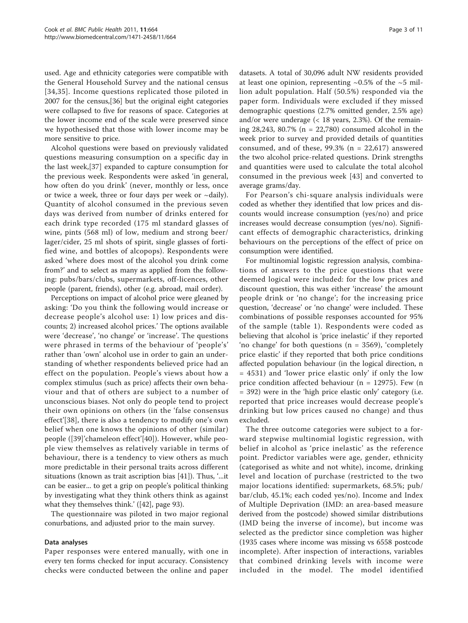used. Age and ethnicity categories were compatible with the General Household Survey and the national census [[34,35\]](#page-9-0). Income questions replicated those piloted in 2007 for the census,[[36\]](#page-9-0) but the original eight categories were collapsed to five for reasons of space. Categories at the lower income end of the scale were preserved since we hypothesised that those with lower income may be more sensitive to price.

Alcohol questions were based on previously validated questions measuring consumption on a specific day in the last week,[[37](#page-9-0)] expanded to capture consumption for the previous week. Respondents were asked 'in general, how often do you drink' (never, monthly or less, once or twice a week, three or four days per week or ~daily). Quantity of alcohol consumed in the previous seven days was derived from number of drinks entered for each drink type recorded (175 ml standard glasses of wine, pints (568 ml) of low, medium and strong beer/ lager/cider, 25 ml shots of spirit, single glasses of fortified wine, and bottles of alcopops). Respondents were asked 'where does most of the alcohol you drink come from?' and to select as many as applied from the following: pubs/bars/clubs, supermarkets, off-licences, other people (parent, friends), other (e.g. abroad, mail order).

Perceptions on impact of alcohol price were gleaned by asking: 'Do you think the following would increase or decrease people's alcohol use: 1) low prices and discounts; 2) increased alcohol prices.' The options available were 'decrease', 'no change' or 'increase'. The questions were phrased in terms of the behaviour of 'people's' rather than 'own' alcohol use in order to gain an understanding of whether respondents believed price had an effect on the population. People's views about how a complex stimulus (such as price) affects their own behaviour and that of others are subject to a number of unconscious biases. Not only do people tend to project their own opinions on others (in the 'false consensus effect'[[38](#page-9-0)], there is also a tendency to modify one's own belief when one knows the opinions of other (similar) people ([\[39](#page-9-0)]'chameleon effect'[[40\]](#page-9-0)). However, while people view themselves as relatively variable in terms of behaviour, there is a tendency to view others as much more predictable in their personal traits across different situations (known as trait ascription bias [[41\]](#page-9-0)). Thus, '...it can be easier... to get a grip on people's political thinking by investigating what they think others think as against what they themselves think.' ([\[42](#page-9-0)], page 93).

The questionnaire was piloted in two major regional conurbations, and adjusted prior to the main survey.

## Data analyses

Paper responses were entered manually, with one in every ten forms checked for input accuracy. Consistency checks were conducted between the online and paper

datasets. A total of 30,096 adult NW residents provided at least one opinion, representing  $\sim 0.5\%$  of the  $\sim 5$  million adult population. Half (50.5%) responded via the paper form. Individuals were excluded if they missed demographic questions (2.7% omitted gender, 2.5% age) and/or were underage  $\left($  < 18 years, 2.3%). Of the remaining 28,243, 80.7% (n = 22,780) consumed alcohol in the week prior to survey and provided details of quantities consumed, and of these,  $99.3\%$  (n = 22,617) answered the two alcohol price-related questions. Drink strengths and quantities were used to calculate the total alcohol consumed in the previous week [\[43\]](#page-9-0) and converted to average grams/day.

For Pearson's chi-square analysis individuals were coded as whether they identified that low prices and discounts would increase consumption (yes/no) and price increases would decrease consumption (yes/no). Significant effects of demographic characteristics, drinking behaviours on the perceptions of the effect of price on consumption were identified.

For multinomial logistic regression analysis, combinations of answers to the price questions that were deemed logical were included: for the low prices and discount question, this was either 'increase' the amount people drink or 'no change'; for the increasing price question, 'decrease' or 'no change' were included. These combinations of possible responses accounted for 95% of the sample (table [1\)](#page-3-0). Respondents were coded as believing that alcohol is 'price inelastic' if they reported 'no change' for both questions (n = 3569), 'completely price elastic' if they reported that both price conditions affected population behaviour (in the logical direction, n = 4531) and 'lower price elastic only' if only the low price condition affected behaviour (n = 12975). Few (n = 392) were in the 'high price elastic only' category (i.e. reported that price increases would decrease people's drinking but low prices caused no change) and thus excluded.

The three outcome categories were subject to a forward stepwise multinomial logistic regression, with belief in alcohol as 'price inelastic' as the reference point. Predictor variables were age, gender, ethnicity (categorised as white and not white), income, drinking level and location of purchase (restricted to the two major locations identified: supermarkets, 68.5%; pub/ bar/club, 45.1%; each coded yes/no). Income and Index of Multiple Deprivation (IMD: an area-based measure derived from the postcode) showed similar distributions (IMD being the inverse of income), but income was selected as the predictor since completion was higher (1935 cases where income was missing vs 6558 postcode incomplete). After inspection of interactions, variables that combined drinking levels with income were included in the model. The model identified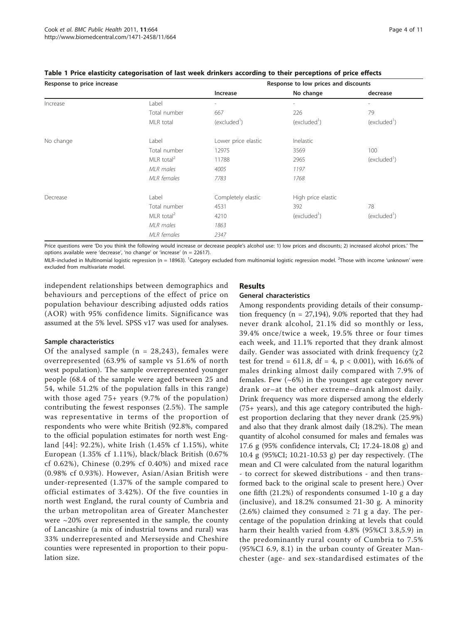| Response to price increase |                        |                          | Response to low prices and discounts |                          |  |  |
|----------------------------|------------------------|--------------------------|--------------------------------------|--------------------------|--|--|
|                            |                        | Increase                 | No change                            | decrease                 |  |  |
| Increase                   | Label                  | $\overline{\phantom{a}}$ | $\overline{\phantom{a}}$             | $\overline{\phantom{a}}$ |  |  |
|                            | Total number           | 667                      | 226                                  | 79                       |  |  |
|                            | MLR total              | (excluded')              | (excluded')                          | (excluded <sup>1</sup> ) |  |  |
| No change                  | Label                  | Lower price elastic      | Inelastic                            |                          |  |  |
|                            | Total number           | 12975                    | 3569                                 | 100                      |  |  |
|                            | MLR total <sup>2</sup> | 11788                    | 2965                                 | (excluded <sup>1</sup> ) |  |  |
|                            | MLR males              | 4005                     | 1197                                 |                          |  |  |
|                            | <b>MLR</b> females     | 7783                     | 1768                                 |                          |  |  |
| Decrease                   | Label                  | Completely elastic       | High price elastic                   |                          |  |  |
|                            | Total number           | 4531                     | 392                                  | 78                       |  |  |
|                            | MLR total <sup>2</sup> | 4210                     | (excluded <sup>1</sup> )             | (excluded')              |  |  |
|                            | MLR males              | 1863                     |                                      |                          |  |  |
|                            | <b>MLR</b> females     | 2347                     |                                      |                          |  |  |

#### <span id="page-3-0"></span>Table 1 Price elasticity categorisation of last week drinkers according to their perceptions of price effects

Price questions were 'Do you think the following would increase or decrease people's alcohol use: 1) low prices and discounts; 2) increased alcohol prices.' The options available were 'decrease', 'no change' or 'increase' (n = 22617).

MLR–included in Multinomial logistic regression (n = 18963). <sup>1</sup>Category excluded from multinomial logistic regression model. <sup>2</sup>Those with income 'unknown' were excluded from multivariate model.

independent relationships between demographics and behaviours and perceptions of the effect of price on population behaviour describing adjusted odds ratios (AOR) with 95% confidence limits. Significance was assumed at the 5% level. SPSS v17 was used for analyses.

## Sample characteristics

Of the analysed sample ( $n = 28,243$ ), females were overrepresented (63.9% of sample vs 51.6% of north west population). The sample overrepresented younger people (68.4 of the sample were aged between 25 and 54, while 51.2% of the population falls in this range) with those aged 75+ years (9.7% of the population) contributing the fewest responses (2.5%). The sample was representative in terms of the proportion of respondents who were white British (92.8%, compared to the official population estimates for north west England [[44](#page-9-0)]: 92.2%), white Irish (1.45% cf 1.15%), white European (1.35% cf 1.11%), black/black British (0.67% cf 0.62%), Chinese (0.29% cf 0.40%) and mixed race (0.98% cf 0.93%). However, Asian/Asian British were under-represented (1.37% of the sample compared to official estimates of 3.42%). Of the five counties in north west England, the rural county of Cumbria and the urban metropolitan area of Greater Manchester were  $\sim$ 20% over represented in the sample, the county of Lancashire (a mix of industrial towns and rural) was 33% underrepresented and Merseyside and Cheshire counties were represented in proportion to their population size.

# Results

# General characteristics

Among respondents providing details of their consumption frequency ( $n = 27,194$ ), 9.0% reported that they had never drank alcohol, 21.1% did so monthly or less, 39.4% once/twice a week, 19.5% three or four times each week, and 11.1% reported that they drank almost daily. Gender was associated with drink frequency  $(\chi 2)$ test for trend = 611.8, df = 4,  $p < 0.001$ ), with 16.6% of males drinking almost daily compared with 7.9% of females. Few (~6%) in the youngest age category never drank or–at the other extreme–drank almost daily. Drink frequency was more dispersed among the elderly (75+ years), and this age category contributed the highest proportion declaring that they never drank (25.9%) and also that they drank almost daily (18.2%). The mean quantity of alcohol consumed for males and females was 17.6 g (95% confidence intervals, CI; 17.24-18.08 g) and 10.4 g (95%CI; 10.21-10.53 g) per day respectively. (The mean and CI were calculated from the natural logarithm - to correct for skewed distributions - and then transformed back to the original scale to present here.) Over one fifth (21.2%) of respondents consumed 1-10 g a day (inclusive), and 18.2% consumed 21-30 g. A minority (2.6%) claimed they consumed  $\geq$  71 g a day. The percentage of the population drinking at levels that could harm their health varied from 4.8% (95%CI 3.8,5.9) in the predominantly rural county of Cumbria to 7.5% (95%CI 6.9, 8.1) in the urban county of Greater Manchester (age- and sex-standardised estimates of the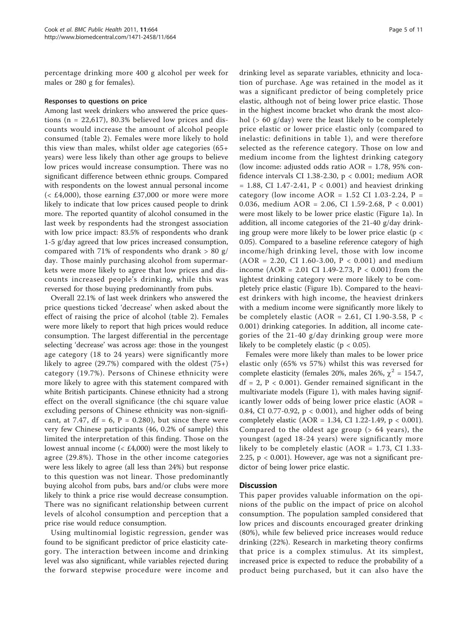percentage drinking more 400 g alcohol per week for males or 280 g for females).

## Responses to questions on price

Among last week drinkers who answered the price questions ( $n = 22,617$ ), 80.3% believed low prices and discounts would increase the amount of alcohol people consumed (table [2\)](#page-5-0). Females were more likely to hold this view than males, whilst older age categories (65+ years) were less likely than other age groups to believe low prices would increase consumption. There was no significant difference between ethnic groups. Compared with respondents on the lowest annual personal income  $( $E4,000$ ), those earning £37,000 or more were more$ likely to indicate that low prices caused people to drink more. The reported quantity of alcohol consumed in the last week by respondents had the strongest association with low price impact: 83.5% of respondents who drank 1-5 g/day agreed that low prices increased consumption, compared with 71% of respondents who drank > 80 g/ day. Those mainly purchasing alcohol from supermarkets were more likely to agree that low prices and discounts increased people's drinking, while this was reversed for those buying predominantly from pubs.

Overall 22.1% of last week drinkers who answered the price questions ticked 'decrease' when asked about the effect of raising the price of alcohol (table [2](#page-5-0)). Females were more likely to report that high prices would reduce consumption. The largest differential in the percentage selecting 'decrease' was across age: those in the youngest age category (18 to 24 years) were significantly more likely to agree  $(29.7%)$  compared with the oldest  $(75+)$ category (19.7%). Persons of Chinese ethnicity were more likely to agree with this statement compared with white British participants. Chinese ethnicity had a strong effect on the overall significance (the chi square value excluding persons of Chinese ethnicity was non-significant, at 7.47,  $df = 6$ ,  $P = 0.280$ ), but since there were very few Chinese participants (46, 0.2% of sample) this limited the interpretation of this finding. Those on the lowest annual income  $\langle \leq E4,000 \rangle$  were the most likely to agree (29.8%). Those in the other income categories were less likely to agree (all less than 24%) but response to this question was not linear. Those predominantly buying alcohol from pubs, bars and/or clubs were more likely to think a price rise would decrease consumption. There was no significant relationship between current levels of alcohol consumption and perception that a price rise would reduce consumption.

Using multinomial logistic regression, gender was found to be significant predictor of price elasticity category. The interaction between income and drinking level was also significant, while variables rejected during the forward stepwise procedure were income and

drinking level as separate variables, ethnicity and location of purchase. Age was retained in the model as it was a significant predictor of being completely price elastic, although not of being lower price elastic. Those in the highest income bracket who drank the most alcohol (> 60 g/day) were the least likely to be completely price elastic or lower price elastic only (compared to inelastic: definitions in table [1](#page-3-0)), and were therefore selected as the reference category. Those on low and medium income from the lightest drinking category (low income: adjusted odds ratio AOR = 1.78, 95% confidence intervals CI 1.38-2.30, p < 0.001; medium AOR  $= 1.88$ , CI 1.47-2.41, P < 0.001) and heaviest drinking category (low income  $AOR = 1.52$  CI 1.03-2.24, P = 0.036, medium AOR = 2.06, CI 1.59-2.68, P < 0.001) were most likely to be lower price elastic (Figure [1a](#page-6-0)). In addition, all income categories of the 21-40 g/day drinking group were more likely to be lower price elastic ( $p <$ 0.05). Compared to a baseline reference category of high income/high drinking level, those with low income  $(AOR = 2.20, CI 1.60-3.00, P < 0.001)$  and medium income (AOR = 2.01 CI 1.49-2.73,  $P < 0.001$ ) from the lightest drinking category were more likely to be completely price elastic (Figure [1b](#page-6-0)). Compared to the heaviest drinkers with high income, the heaviest drinkers with a medium income were significantly more likely to be completely elastic (AOR = 2.61, CI 1.90-3.58, P < 0.001) drinking categories. In addition, all income categories of the 21-40 g/day drinking group were more likely to be completely elastic ( $p < 0.05$ ).

Females were more likely than males to be lower price elastic only (65% vs 57%) whilst this was reversed for complete elasticity (females 20%, males 26%,  $\chi^2$  = 154.7,  $df = 2$ ,  $P < 0.001$ ). Gender remained significant in the multivariate models (Figure [1\)](#page-6-0), with males having significantly lower odds of being lower price elastic (AOR = 0.84, CI 0.77-0.92, p < 0.001), and higher odds of being completely elastic (AOR = 1.34, CI 1.22-1.49, p < 0.001). Compared to the oldest age group (> 64 years), the youngest (aged 18-24 years) were significantly more likely to be completely elastic  $(AOR = 1.73, CI 1.33$ -2.25,  $p < 0.001$ ). However, age was not a significant predictor of being lower price elastic.

## **Discussion**

This paper provides valuable information on the opinions of the public on the impact of price on alcohol consumption. The population sampled considered that low prices and discounts encouraged greater drinking (80%), while few believed price increases would reduce drinking (22%). Research in marketing theory confirms that price is a complex stimulus. At its simplest, increased price is expected to reduce the probability of a product being purchased, but it can also have the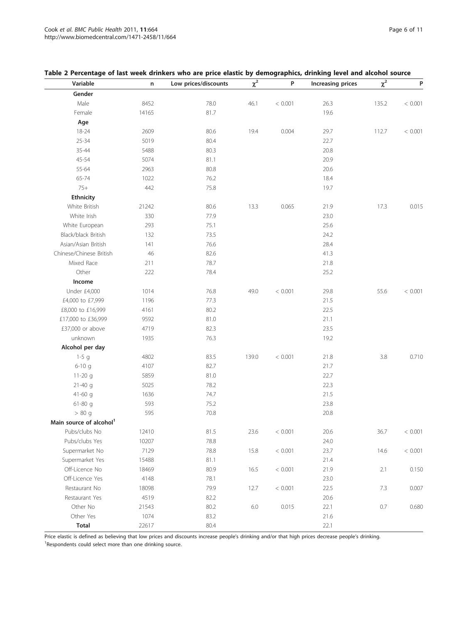| Variable                            | n     | Low prices/discounts | $\chi^2$ | P       | Increasing prices | $\chi^2$ | P       |
|-------------------------------------|-------|----------------------|----------|---------|-------------------|----------|---------|
| Gender                              |       |                      |          |         |                   |          |         |
| Male                                | 8452  | 78.0                 | 46.1     | < 0.001 | 26.3              | 135.2    | < 0.001 |
| Female                              | 14165 | 81.7                 |          |         | 19.6              |          |         |
| Age                                 |       |                      |          |         |                   |          |         |
| 18-24                               | 2609  | 80.6                 | 19.4     | 0.004   | 29.7              | 112.7    | < 0.001 |
| $25 - 34$                           | 5019  | 80.4                 |          |         | 22.7              |          |         |
| 35-44                               | 5488  | 80.3                 |          |         | 20.8              |          |         |
| 45-54                               | 5074  | 81.1                 |          |         | 20.9              |          |         |
| 55-64                               | 2963  | 80.8                 |          |         | 20.6              |          |         |
| 65-74                               | 1022  | 76.2                 |          |         | 18.4              |          |         |
| $75+$                               | 442   | 75.8                 |          |         | 19.7              |          |         |
| <b>Ethnicity</b>                    |       |                      |          |         |                   |          |         |
| White British                       | 21242 | 80.6                 | 13.3     | 0.065   | 21.9              | 17.3     | 0.015   |
| White Irish                         | 330   | 77.9                 |          |         | 23.0              |          |         |
| White European                      | 293   | 75.1                 |          |         | 25.6              |          |         |
| Black/black British                 | 132   | 73.5                 |          |         | 24.2              |          |         |
| Asian/Asian British                 | 141   | 76.6                 |          |         | 28.4              |          |         |
| Chinese/Chinese British             | 46    | 82.6                 |          |         | 41.3              |          |         |
| Mixed Race                          | 211   | 78.7                 |          |         | 21.8              |          |         |
| Other                               | 222   | 78.4                 |          |         | 25.2              |          |         |
| Income                              |       |                      |          |         |                   |          |         |
| Under £4,000                        | 1014  | 76.8                 | 49.0     | < 0.001 | 29.8              | 55.6     | < 0.001 |
| £4,000 to £7,999                    | 1196  | 77.3                 |          |         | 21.5              |          |         |
| £8,000 to £16,999                   | 4161  | 80.2                 |          |         | 22.5              |          |         |
| £17,000 to £36,999                  | 9592  | 81.0                 |          |         | 21.1              |          |         |
| £37,000 or above                    | 4719  | 82.3                 |          |         | 23.5              |          |         |
| unknown                             | 1935  | 76.3                 |          |         | 19.2              |          |         |
| Alcohol per day                     |       |                      |          |         |                   |          |         |
| $1-5$ g                             | 4802  | 83.5                 | 139.0    | < 0.001 | 21.8              | 3.8      | 0.710   |
| $6-10q$                             | 4107  | 82.7                 |          |         | 21.7              |          |         |
| $11-20$ g                           | 5859  | 81.0                 |          |         | 22.7              |          |         |
| $21 - 40$ g                         | 5025  | 78.2                 |          |         | 22.3              |          |         |
| 41-60 $q$                           | 1636  | 74.7                 |          |         | 21.5              |          |         |
| $61-80$ g                           | 593   | 75.2                 |          |         | 23.8              |          |         |
| > 80 g                              | 595   | 70.8                 |          |         | 20.8              |          |         |
| Main source of alcohol <sup>1</sup> |       |                      |          |         |                   |          |         |
| Pubs/clubs No                       | 12410 | 81.5                 | 23.6     | < 0.001 | 20.6              | 36.7     | < 0.001 |
| Pubs/clubs Yes                      | 10207 | 78.8                 |          |         | 24.0              |          |         |
| Supermarket No                      | 7129  | 78.8                 | 15.8     | < 0.001 | 23.7              | 14.6     | < 0.001 |
| Supermarket Yes                     | 15488 | 81.1                 |          |         | 21.4              |          |         |
| Off-Licence No                      | 18469 | 80.9                 | 16.5     | < 0.001 | 21.9              | 2.1      | 0.150   |
| Off-Licence Yes                     | 4148  | 78.1                 |          |         | 23.0              |          |         |
| Restaurant No                       | 18098 | 79.9                 | 12.7     | < 0.001 | 22.5              | 7.3      | 0.007   |
| Restaurant Yes                      | 4519  | 82.2                 |          |         | 20.6              |          |         |
| Other No                            | 21543 | 80.2                 | $6.0\,$  | 0.015   | 22.1              | $0.7\,$  | 0.680   |
| Other Yes                           | 1074  | 83.2                 |          |         | 21.6              |          |         |
| <b>Total</b>                        | 22617 | 80.4                 |          |         | 22.1              |          |         |

# <span id="page-5-0"></span>Table 2 Percentage of last week drinkers who are price elastic by demographics, drinking level and alcohol source

Price elastic is defined as believing that low prices and discounts increase people's drinking and/or that high prices decrease people's drinking. <sup>1</sup>Respondents could select more than one drinking source.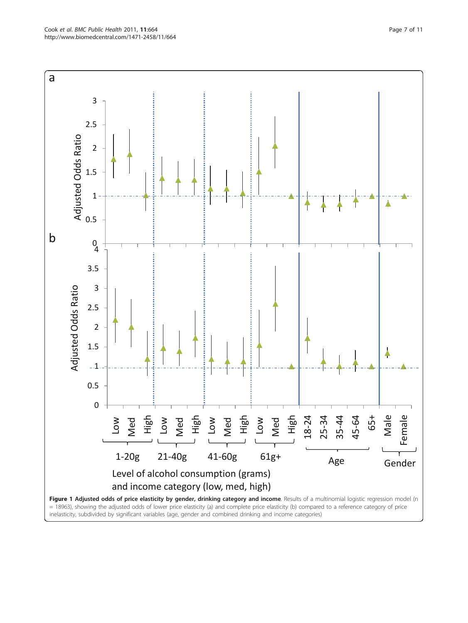<span id="page-6-0"></span>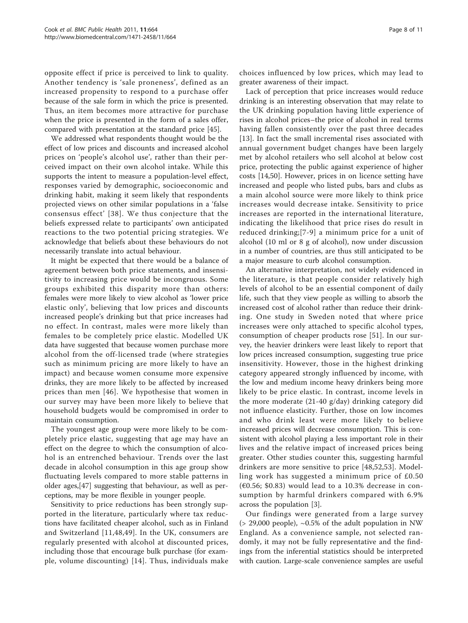opposite effect if price is perceived to link to quality. Another tendency is 'sale proneness', defined as an increased propensity to respond to a purchase offer because of the sale form in which the price is presented. Thus, an item becomes more attractive for purchase when the price is presented in the form of a sales offer, compared with presentation at the standard price [[45\]](#page-9-0).

We addressed what respondents thought would be the effect of low prices and discounts and increased alcohol prices on 'people's alcohol use', rather than their perceived impact on their own alcohol intake. While this supports the intent to measure a population-level effect, responses varied by demographic, socioeconomic and drinking habit, making it seem likely that respondents projected views on other similar populations in a 'false consensus effect' [[38\]](#page-9-0). We thus conjecture that the beliefs expressed relate to participants' own anticipated reactions to the two potential pricing strategies. We acknowledge that beliefs about these behaviours do not necessarily translate into actual behaviour.

It might be expected that there would be a balance of agreement between both price statements, and insensitivity to increasing price would be incongruous. Some groups exhibited this disparity more than others: females were more likely to view alcohol as 'lower price elastic only', believing that low prices and discounts increased people's drinking but that price increases had no effect. In contrast, males were more likely than females to be completely price elastic. Modelled UK data have suggested that because women purchase more alcohol from the off-licensed trade (where strategies such as minimum pricing are more likely to have an impact) and because women consume more expensive drinks, they are more likely to be affected by increased prices than men [[46\]](#page-9-0). We hypothesise that women in our survey may have been more likely to believe that household budgets would be compromised in order to maintain consumption.

The youngest age group were more likely to be completely price elastic, suggesting that age may have an effect on the degree to which the consumption of alcohol is an entrenched behaviour. Trends over the last decade in alcohol consumption in this age group show fluctuating levels compared to more stable patterns in older ages,[[47](#page-9-0)] suggesting that behaviour, as well as perceptions, may be more flexible in younger people.

Sensitivity to price reductions has been strongly supported in the literature, particularly where tax reductions have facilitated cheaper alcohol, such as in Finland and Switzerland [[11](#page-9-0),[48,49\]](#page-9-0). In the UK, consumers are regularly presented with alcohol at discounted prices, including those that encourage bulk purchase (for example, volume discounting) [[14](#page-9-0)]. Thus, individuals make choices influenced by low prices, which may lead to greater awareness of their impact.

Lack of perception that price increases would reduce drinking is an interesting observation that may relate to the UK drinking population having little experience of rises in alcohol prices–the price of alcohol in real terms having fallen consistently over the past three decades [[13](#page-9-0)]. In fact the small incremental rises associated with annual government budget changes have been largely met by alcohol retailers who sell alcohol at below cost price, protecting the public against experience of higher costs [[14,50\]](#page-9-0). However, prices in on licence setting have increased and people who listed pubs, bars and clubs as a main alcohol source were more likely to think price increases would decrease intake. Sensitivity to price increases are reported in the international literature, indicating the likelihood that price rises do result in reduced drinking;[[7](#page-9-0)-[9](#page-9-0)] a minimum price for a unit of alcohol (10 ml or 8 g of alcohol), now under discussion in a number of countries, are thus still anticipated to be a major measure to curb alcohol consumption.

An alternative interpretation, not widely evidenced in the literature, is that people consider relatively high levels of alcohol to be an essential component of daily life, such that they view people as willing to absorb the increased cost of alcohol rather than reduce their drinking. One study in Sweden noted that where price increases were only attached to specific alcohol types, consumption of cheaper products rose [\[51](#page-9-0)]. In our survey, the heavier drinkers were least likely to report that low prices increased consumption, suggesting true price insensitivity. However, those in the highest drinking category appeared strongly influenced by income, with the low and medium income heavy drinkers being more likely to be price elastic. In contrast, income levels in the more moderate (21-40 g/day) drinking category did not influence elasticity. Further, those on low incomes and who drink least were more likely to believe increased prices will decrease consumption. This is consistent with alcohol playing a less important role in their lives and the relative impact of increased prices being greater. Other studies counter this, suggesting harmful drinkers are more sensitive to price [[48,52](#page-9-0),[53\]](#page-9-0). Modelling work has suggested a minimum price of £0.50  $(60.56; $0.83)$  would lead to a 10.3% decrease in consumption by harmful drinkers compared with 6.9% across the population [\[3](#page-9-0)].

Our findings were generated from a large survey  $(> 29,000$  people),  $~0.5\%$  of the adult population in NW England. As a convenience sample, not selected randomly, it may not be fully representative and the findings from the inferential statistics should be interpreted with caution. Large-scale convenience samples are useful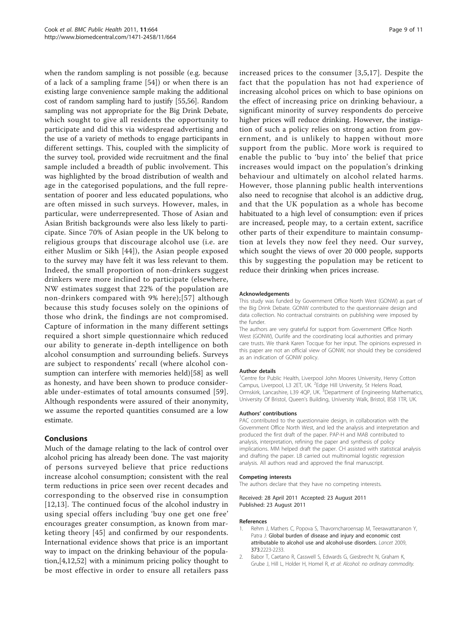<span id="page-8-0"></span>when the random sampling is not possible (e.g. because of a lack of a sampling frame [[54\]](#page-9-0)) or when there is an existing large convenience sample making the additional cost of random sampling hard to justify [\[55](#page-9-0)[,56\]](#page-10-0). Random sampling was not appropriate for the Big Drink Debate, which sought to give all residents the opportunity to participate and did this via widespread advertising and the use of a variety of methods to engage participants in different settings. This, coupled with the simplicity of the survey tool, provided wide recruitment and the final sample included a breadth of public involvement. This was highlighted by the broad distribution of wealth and age in the categorised populations, and the full representation of poorer and less educated populations, who are often missed in such surveys. However, males, in particular, were underrepresented. Those of Asian and Asian British backgrounds were also less likely to participate. Since 70% of Asian people in the UK belong to religious groups that discourage alcohol use (i.e. are either Muslim or Sikh [\[44\]](#page-9-0)), the Asian people exposed to the survey may have felt it was less relevant to them. Indeed, the small proportion of non-drinkers suggest drinkers were more inclined to participate (elsewhere, NW estimates suggest that 22% of the population are non-drinkers compared with 9% here);[[57\]](#page-10-0) although because this study focuses solely on the opinions of those who drink, the findings are not compromised. Capture of information in the many different settings required a short simple questionnaire which reduced our ability to generate in-depth intelligence on both alcohol consumption and surrounding beliefs. Surveys are subject to respondents' recall (where alcohol consumption can interfere with memories held)[[58\]](#page-10-0) as well as honesty, and have been shown to produce considerable under-estimates of total amounts consumed [[59](#page-10-0)]. Although respondents were assured of their anonymity, we assume the reported quantities consumed are a low estimate.

## **Conclusions**

Much of the damage relating to the lack of control over alcohol pricing has already been done. The vast majority of persons surveyed believe that price reductions increase alcohol consumption; consistent with the real term reductions in price seen over recent decades and corresponding to the observed rise in consumption [[12,13](#page-9-0)]. The continued focus of the alcohol industry in using special offers including 'buy one get one free' encourages greater consumption, as known from marketing theory [[45](#page-9-0)] and confirmed by our respondents. International evidence shows that price is an important way to impact on the drinking behaviour of the population,[\[4](#page-9-0),[12](#page-9-0),[52](#page-9-0)] with a minimum pricing policy thought to be most effective in order to ensure all retailers pass increased prices to the consumer [[3](#page-9-0),[5,17](#page-9-0)]. Despite the fact that the population has not had experience of increasing alcohol prices on which to base opinions on the effect of increasing price on drinking behaviour, a significant minority of survey respondents do perceive higher prices will reduce drinking. However, the instigation of such a policy relies on strong action from government, and is unlikely to happen without more support from the public. More work is required to enable the public to 'buy into' the belief that price increases would impact on the population's drinking behaviour and ultimately on alcohol related harms. However, those planning public health interventions also need to recognise that alcohol is an addictive drug, and that the UK population as a whole has become habituated to a high level of consumption: even if prices are increased, people may, to a certain extent, sacrifice other parts of their expenditure to maintain consumption at levels they now feel they need. Our survey, which sought the views of over 20 000 people, supports this by suggesting the population may be reticent to reduce their drinking when prices increase.

#### Acknowledgements

This study was funded by Government Office North West (GONW) as part of the Big Drink Debate. GONW contributed to the questionnaire design and data collection. No contractual constraints on publishing were imposed by the funder.

The authors are very grateful for support from Government Office North West (GONW), Ourlife and the coordinating local authorities and primary care trusts. We thank Karen Tocque for her input. The opinions expressed in this paper are not an official view of GONW, nor should they be considered as an indication of GONW policy.

#### Author details

<sup>1</sup> Centre for Public Health, Liverpool John Moores University, Henry Cotton Campus, Liverpool, L3 2ET, UK. <sup>2</sup>Edge Hill University, St Helens Road Ormskirk, Lancashire, L39 4QP, UK. <sup>3</sup>Department of Engineering Mathematics University Of Bristol, Queen's Building, University Walk, Bristol, BS8 1TR, UK.

#### Authors' contributions

PAC contributed to the questionnaire design, in collaboration with the Government Office North West, and led the analysis and interpretation and produced the first draft of the paper. PAP-H and MAB contributed to analysis, interpretation, refining the paper and synthesis of policy implications. MM helped draft the paper. CH assisted with statistical analysis and drafting the paper. LB carried out multinomial logistic regression analysis. All authors read and approved the final manuscript.

#### Competing interests

The authors declare that they have no competing interests.

Received: 28 April 2011 Accepted: 23 August 2011 Published: 23 August 2011

#### References

- Rehm J, Mathers C, Popova S, Thavorncharoensap M, Teerawattananon Y, Patra J: [Global burden of disease and injury and economic cost](http://www.ncbi.nlm.nih.gov/pubmed/19560604?dopt=Abstract) [attributable to alcohol use and alcohol-use disorders.](http://www.ncbi.nlm.nih.gov/pubmed/19560604?dopt=Abstract) Lancet 2009, 373:2223-2233.
- 2. Babor T, Caetano R, Casswell S, Edwards G, Giesbrecht N, Graham K, Grube J, Hill L, Holder H, Homel R, et al: Alcohol: no ordinary commodity.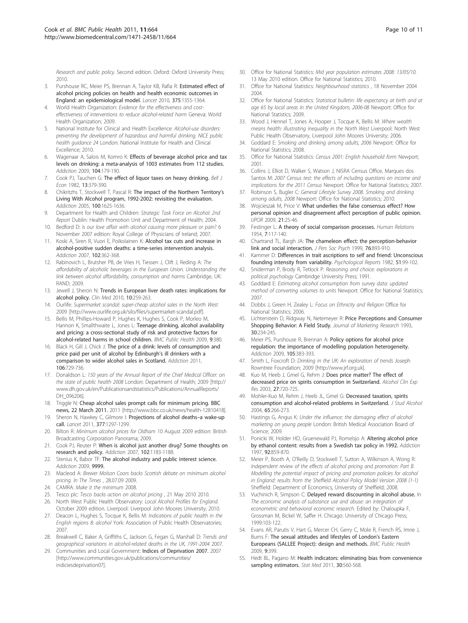<span id="page-9-0"></span>Research and public policy. Second edition. Oxford: Oxford University Press; 2010.

- Purshouse RC, Meier PS, Brennan A, Taylor KB, Rafia R: [Estimated effect of](http://www.ncbi.nlm.nih.gov/pubmed/20338629?dopt=Abstract) [alcohol pricing policies on health and health economic outcomes in](http://www.ncbi.nlm.nih.gov/pubmed/20338629?dopt=Abstract) [England: an epidemiological model.](http://www.ncbi.nlm.nih.gov/pubmed/20338629?dopt=Abstract) Lancet 2010, 375:1355-1364.
- World Health Organization: Evidence for the effectiveness and costeffectiveness of interventions to reduce alcohol-related harm Geneva: World Health Organization; 2009.
- National Institute for Clinical and Health Excellence: Alcohol-use disorders: preventing the development of hazardous and harmful drinking. NICE public health guidance 24 London: National Institute for Health and Clinical Excellence; 2010.
- 6. Wagenaar A, Salois M, Komro K: [Effects of beverage alcohol price and tax](http://www.ncbi.nlm.nih.gov/pubmed/19149811?dopt=Abstract) [levels on drinking: a meta-analysis of 1003 estimates from 112 studies.](http://www.ncbi.nlm.nih.gov/pubmed/19149811?dopt=Abstract) Addiction 2009, 104:179-190.
- Cook PJ, Tauchen G: The effect of liquor taxes on heavy drinking. Bell J Econ 1982, 13:379-390.
- 8. Chikritzhs T, Stockwell T, Pascal R: [The impact of the Northern Territory](http://www.ncbi.nlm.nih.gov/pubmed/16277624?dopt=Abstract)'s [Living With Alcohol program, 1992-2002: revisiting the evaluation.](http://www.ncbi.nlm.nih.gov/pubmed/16277624?dopt=Abstract) Addiction 2005, 100:1625-1636.
- 9. Department for Health and Children: Strategic Task Force on Alcohol: 2nd Report Dublin: Health Promotion Unit and Department of Health; 2004.
- 10. Bedford D: Is our love affair with alcohol causing more pleasure or pain? 6 November 2007 edition: Royal College of Physicians of Ireland; 2007.
- 11. Koski A, Siren R, Vuori E, Poikolainen K: [Alcohol tax cuts and increase in](http://www.ncbi.nlm.nih.gov/pubmed/17298642?dopt=Abstract) [alcohol-positive sudden deaths: a time-series intervention analysis.](http://www.ncbi.nlm.nih.gov/pubmed/17298642?dopt=Abstract) Addiction 2007, 102:362-368.
- 12. Rabinovich L, Brutsher PB, de Vries H, Tiessen J, Clift J, Reding A: The affordability of alcoholic beverages in the European Union. Understanding the link between alcohol affordability, consumption and harms Cambridge, UK: RAND; 2009.
- 13. Jewell J, Sheron N: [Trends in European liver death rates: implications for](http://www.ncbi.nlm.nih.gov/pubmed/20726458?dopt=Abstract) [alcohol policy.](http://www.ncbi.nlm.nih.gov/pubmed/20726458?dopt=Abstract) Clin Med 2010, 10:259-263.
- 14. Ourlife: Supermarket scandal: super-cheap alcohol sales in the North West 2009 [\[http://www.ourlife.org.uk/silo/files/supermarket-scandal.pdf\]](http://www.ourlife.org.uk/silo/files/supermarket-scandal.pdf).
- 15. Bellis M, Phillips-Howard P, Hughes K, Hughes S, Cook P, Morleo M, Hannon K, Smallthwaite L, Jones L: [Teenage drinking, alcohol availability](http://www.ncbi.nlm.nih.gov/pubmed/19818118?dopt=Abstract) [and pricing: a cross-sectional study of risk and protective factors for](http://www.ncbi.nlm.nih.gov/pubmed/19818118?dopt=Abstract) [alcohol-related harms in school children.](http://www.ncbi.nlm.nih.gov/pubmed/19818118?dopt=Abstract) BMC Public Health 2009, 9:380.
- 16. Black H, Gill J, Chick J: [The price of a drink: levels of consumption and](http://www.ncbi.nlm.nih.gov/pubmed/21134019?dopt=Abstract) [price paid per unit of alcohol by Edinburgh](http://www.ncbi.nlm.nih.gov/pubmed/21134019?dopt=Abstract)'s ill drinkers with a [comparison to wider alcohol sales in Scotland.](http://www.ncbi.nlm.nih.gov/pubmed/21134019?dopt=Abstract) Addiction 2011, 106:729-736.
- 17. Donaldson L: 150 years of the Annual Report of the Chief Medical Officer: on the state of public health 2008 London: Department of Health; 2009 [\[http://](http://www.dh.gov.uk/en/Publicationsandstatistics/Publications/AnnualReports/DH_096206) [www.dh.gov.uk/en/Publicationsandstatistics/Publications/AnnualReports/](http://www.dh.gov.uk/en/Publicationsandstatistics/Publications/AnnualReports/DH_096206) [DH\\_096206\]](http://www.dh.gov.uk/en/Publicationsandstatistics/Publications/AnnualReports/DH_096206).
- 18. Triggle N: Cheap alcohol sales prompt calls for minimum pricing. BBC news, 22 March 2011. 2011 [\[http://www.bbc.co.uk/news/health-12810418](http://www.bbc.co.uk/news/health-12810418)].
- 19. Sheron N, Hawkey C, Gilmore I: [Projections of alcohol deaths](http://www.ncbi.nlm.nih.gov/pubmed/21334738?dopt=Abstract)-a wake-up [call.](http://www.ncbi.nlm.nih.gov/pubmed/21334738?dopt=Abstract) Lancet 2011, 377:1297-1299.
- 20. Bilton R: Minimum alcohol prices for Oldham 10 August 2009 edition: British Broadcasting Corporation Panorama; 2009.
- 21. Cook PJ, Reuter P: [When is alcohol just another drug? Some thoughts on](http://www.ncbi.nlm.nih.gov/pubmed/17624970?dopt=Abstract) [research and policy.](http://www.ncbi.nlm.nih.gov/pubmed/17624970?dopt=Abstract) Addiction 2007, 102:1183-1188.
- 22. Stenius K, Babor TF: The alcohol industry and public interest science. Addiction 2009, 9999.
- 23. Macleod A: Brewer Molson Coors backs Scottish debate on minimum alcohol pricing. In The Times , 28.07.09 2009.
- 24. CAMRA: Make it the minimum 2008.
- 25. Tesco plc: Tesco backs action on alcohol pricing , 21 May 2010 2010.
- 26. North West Public Health Observatory: Local Alcohol Profiles for England. October 2009 edition. Liverpool: Liverpool John Moores University; 2010.
- 27. Deacon L, Hughes S, Tocque K, Bellis M: Indications of public health in the English regions 8: alcohol York: Association of Public Health Observatories; 2007.
- 28. Breakwell C, Baker A, Griffiths C, Jackson G, Fegan G, Marshall D: Trends and geographical variations in alcohol-related deaths in the UK, 1991-2004 2007.
- 29. Communities and Local Government: Indices of Deprivation 2007. 2007 [\[http://www.communities.gov.uk/publications/communities/](http://www.communities.gov.uk/publications/communities/indiciesdeprivation07) [indiciesdeprivation07\]](http://www.communities.gov.uk/publications/communities/indiciesdeprivation07).
- 30. Office for National Statistics: Mid year population estimates 2008: 13/05/10. 13 May 2010 edition. Office for National Statistics; 2010.
- 31. Office for National Statistics: Neighbourhood statistics , 18 November 2004 2004.
- 32. Office for National Statistics: Statistical bulletin: life expectancy at birth and at age 65 by local areas in the United Kingdom, 2006-08 Newport: Office for National Statistics; 2009.
- 33. Wood J, Hennel T, Jones A, Hooper J, Tocque K, Bellis M: Where wealth means health: illustrating inequality in the North West Liverpool: North West Public Health Observatory, Liverpool John Moores University; 2006.
- 34. Goddard E: Smoking and drinking among adults, 2006 Newport: Office for National Statistics; 2008.
- 35. Office for National Statistics: Census 2001: English household form Newport; 2001.
- 36. Collins J, Elliot D, Walker S, Watson J, NISRA Census Office, Marques dos Santos M: 2007 Census test: the effects of including questions on income and implications for the 2011 Census Newport: Office for National Statistics; 2007.
- 37. Robinson S, Bugler C: General Lifestyle Survey 2008. Smoking and drinking among adults, 2008 Newport: Office for National Statistics; 2010.
- 38. Wojcieszak M, Price V: What underlies the false consensus effect? How personal opinion and disagreement affect perception of public opinion. IJPOR 2009, 21:25-46.
- 39. Festinger L: A theory of social comparison processes. Human Relations 1954, 7:117-140.
- 40. Chartrand TL, Bargh JA: The chameleon effect: the perception-behavior link and social interaction. J Pers Soc Psych 1999, 76:893-910.
- 41. Kammer D: Differences in trait ascriptions to self and friend: Unconscious founding intensity from variability. Psychological Reports 1982, 51:99-102.
- 42. Sniderman P, Brody R, Tetlock P: Reasoning and choice: explorations in political psychology Cambridge University Press; 1991.
- 43. Goddard E: Estimating alcohol consumption from survey data: updated method of converting volumes to units Newport: Office for National Statistics; 2007.
- 44. Dobbs J, Green H, Zealey L: Focus on Ethnicity and Religion Office for National Statistics; 2006.
- 45. Lichtenstein D, Ridgway N, Netemeyer R: Price Perceptions and Consumer Shopping Behavior: A Field Study. Journal of Marketing Research 1993, 30:234-245.
- 46. Meier PS, Purshouse R, Brennan A: [Policy options for alcohol price](http://www.ncbi.nlm.nih.gov/pubmed/19839965?dopt=Abstract) [regulation: the importance of modelling population heterogeneity.](http://www.ncbi.nlm.nih.gov/pubmed/19839965?dopt=Abstract) Addiction 2009, 105:383-393.
- 47. Smith L, Foxcroft D: Drinking in the UK: An exploration of trends Joseph Rowntree Foundation; 2009 [\[http://www.jrf.org.uk\]](http://www.jrf.org.uk).
- 48. Kuo M, Heeb J, Gmel G, Rehm J: [Does price matter? The effect of](http://www.ncbi.nlm.nih.gov/pubmed/12711936?dopt=Abstract) [decreased price on spirits consumption in Switzerland.](http://www.ncbi.nlm.nih.gov/pubmed/12711936?dopt=Abstract) Alcohol Clin Exp Res 2003, 27:720-725.
- 49. Mohler-Kuo M, Rehm J, Heeb JL, Gmel G: [Decreased taxation, spirits](http://www.ncbi.nlm.nih.gov/pubmed/15151359?dopt=Abstract) [consumption and alcohol-related problems in Switzerland.](http://www.ncbi.nlm.nih.gov/pubmed/15151359?dopt=Abstract) J Stud Alcohol 2004, 65:266-273.
- 50. Hastings G, Angus K: Under the influence: the damaging effect of alcohol marketing on young people London: British Medical Association Board of Science; 2009.
- 51. Ponicki W, Holder HD, Gruenewald PJ, Romelsjo A: [Altering alcohol price](http://www.ncbi.nlm.nih.gov/pubmed/9293045?dopt=Abstract) [by ethanol content: results from a Swedish tax policy in 1992.](http://www.ncbi.nlm.nih.gov/pubmed/9293045?dopt=Abstract) Addiction 1997, 92:859-870.
- 52. Meier P, Booth A, O'Reilly D, Stockwell T, Sutton A, Wilkinson A, Wong R: Independent review of the effects of alcohol pricing and promotion: Part B. Modelling the potential impact of pricing and promotion policies for alcohol in England: results from the Sheffield Alcohol Policy Model Version 2008 (1-1) Sheffield: Department of Economics, University of Sheffield; 2008.
- 53. Vuchinich R, Simpson C: Delayed reward discounting in alcohol abuse. In The economic analysis of substance use and abuse: an integration of econometric and behavioral economic research. Edited by: Chaloupka F, Grossman M, Bickel W, Saffer H. Chicago: University of Chicago Press; 1999:103-122.
- 54. Evans AR, Parutis V, Hart G, Mercer CH, Gerry C, Mole R, French RS, Imrie J, Burns F: [The sexual attitudes and lifestyles of London](http://www.ncbi.nlm.nih.gov/pubmed/19878564?dopt=Abstract)'s Eastern [Europeans \(SALLEE Project\): design and methods.](http://www.ncbi.nlm.nih.gov/pubmed/19878564?dopt=Abstract) BMC Public Health 2009, 9:399.
- 55. Hedt BL, Pagano M: [Health indicators: eliminating bias from convenience](http://www.ncbi.nlm.nih.gov/pubmed/21290401?dopt=Abstract) [sampling estimators.](http://www.ncbi.nlm.nih.gov/pubmed/21290401?dopt=Abstract) Stat Med 2011, 30:560-568.